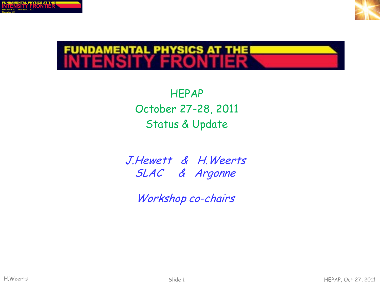



HEPAP October 27-28, 2011 Status & Update

J.Hewett & H.Weerts SLAC & Argonne

Workshop co-chairs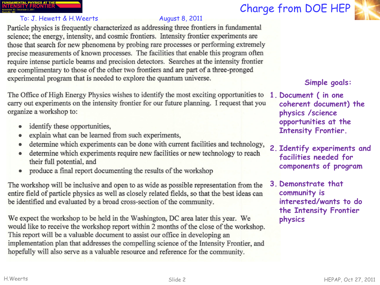### INDAMENTAL PHYSICS AT THE<br>ITENSITY FRONTIER

### To: J. Hewett & H. Weerts August 8, 2011

Particle physics is frequently characterized as addressing three frontiers in fundamental science; the energy, intensity, and cosmic frontiers. Intensity frontier experiments are those that search for new phenomena by probing rare processes or performing extremely precise measurements of known processes. The facilities that enable this program often require intense particle beams and precision detectors. Searches at the intensity frontier are complimentary to those of the other two frontiers and are part of a three-pronged experimental program that is needed to explore the quantum universe.

The Office of High Energy Physics wishes to identify the most exciting opportunities to carry out experiments on the intensity frontier for our future planning. I request that you organize a workshop to:

- identify these opportunities,
- explain what can be learned from such experiments,  $\bullet$
- determine which experiments can be done with current facilities and technology,  $\bullet$
- determine which experiments require new facilities or new technology to reach their full potential, and
- produce a final report documenting the results of the workshop

The workshop will be inclusive and open to as wide as possible representation from the entire field of particle physics as well as closely related fields, so that the best ideas can be identified and evaluated by a broad cross-section of the community.

We expect the workshop to be held in the Washington, DC area later this year. We would like to receive the workshop report within 2 months of the close of the workshop. This report will be a valuable document to assist our office in developing an implementation plan that addresses the compelling science of the Intensity Frontier, and hopefully will also serve as a valuable resource and reference for the community.





### **Simple goals:**

- **1. Document ( in one coherent document) the physics /science opportunities at the Intensity Frontier.**
- **2. Identify experiments and facilities needed for components of program**
- **3. Demonstrate that community is interested/wants to do the Intensity Frontier physics**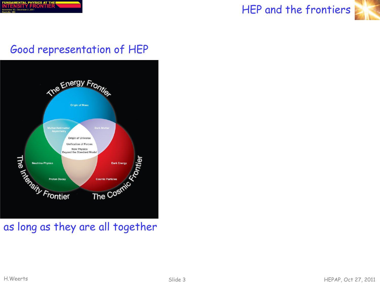

### HEP and the frontiers



### Good representation of HEP



### as long as they are all together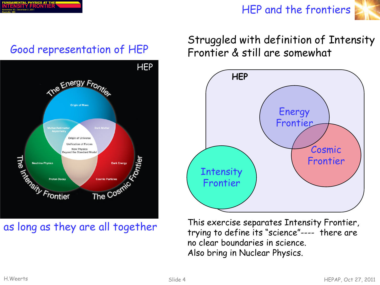|                                                  | FUNDAMENTAL PHYSICS AT THEI |  |
|--------------------------------------------------|-----------------------------|--|
|                                                  | <b>INTENSITY FRONTIER</b>   |  |
| November 30 - December 2, 2011<br>Daalasiila MD. |                             |  |

### HEP and the frontiers





### as long as they are all together

# Struggled with definition of Intensity Good representation of HEP Frontier & still are somewhat



This exercise separates Intensity Frontier, trying to define its "science"---- there are no clear boundaries in science. Also bring in Nuclear Physics.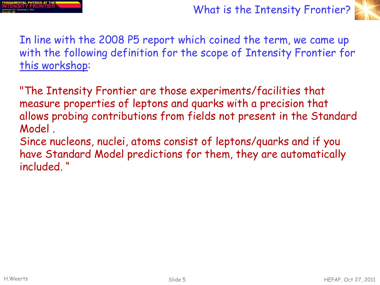



In line with the 2008 P5 report which coined the term, we came up with the following definition for the scope of Intensity Frontier for this workshop:

"The Intensity Frontier are those experiments/facilities that measure properties of leptons and quarks with a precision that allows probing contributions from fields not present in the Standard Model .

Since nucleons, nuclei, atoms consist of leptons/quarks and if you have Standard Model predictions for them, they are automatically included. "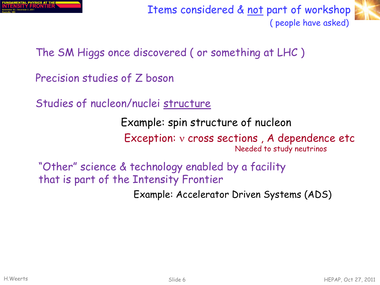

Items considered & not part of workshop ( people have asked)



The SM Higgs once discovered ( or something at LHC )

- Precision studies of Z boson
- Studies of nucleon/nuclei structure

Example: spin structure of nucleon

Exception: ν cross sections , A dependence etc Needed to study neutrinos

"Other" science & technology enabled by a facility that is part of the Intensity Frontier

Example: Accelerator Driven Systems (ADS)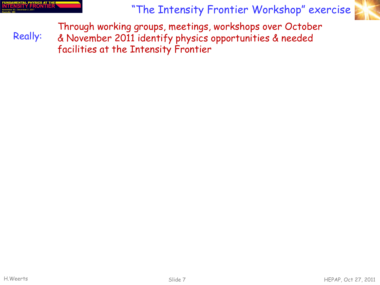| FUNDAMENTAL PHYSICS AT THE I                    |  |  |
|-------------------------------------------------|--|--|
| <b>NTENSITY FRONTIER</b>                        |  |  |
| lovember 30 - December 2, 2011<br>saan dina 110 |  |  |

Really:

"The Intensity Frontier Workshop" exercise



Through working groups, meetings, workshops over October & November 2011 identify physics opportunities & needed facilities at the Intensity Frontier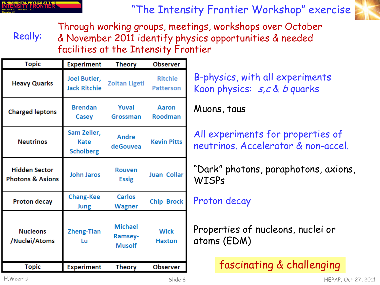| FUNDAMENTAL PHYSICS AT THE!                     |  |
|-------------------------------------------------|--|
| <b>INTENSITY FRONTIER</b>                       |  |
| November 30 - December 2, 2011<br>maaladiis 11m |  |

"The Intensity Frontier Workshop" exercise



Really: Through working groups, meetings, workshops over October & November 2011 identify physics opportunities & needed facilities at the Intensity Frontier

| <b>Topic</b>                                        | <b>Experiment</b>                              | <b>Theory</b>                                     | <b>Observer</b>                    |
|-----------------------------------------------------|------------------------------------------------|---------------------------------------------------|------------------------------------|
| <b>Heavy Quarks</b>                                 | Joel Butler,<br><b>Jack Ritchie</b>            | <b>Zoltan Ligeti</b>                              | <b>Ritchie</b><br><b>Patterson</b> |
| <b>Charged leptons</b>                              | <b>Brendan</b><br><b>Casey</b>                 | Yuval<br><b>Grossman</b>                          | Aaron<br><b>Roodman</b>            |
| <b>Neutrinos</b>                                    | Sam Zeller,<br><b>Kate</b><br><b>Scholberg</b> | <b>Andre</b><br>deGouvea                          | <b>Kevin Pitts</b>                 |
| <b>Hidden Sector</b><br><b>Photons &amp; Axions</b> | <b>John Jaros</b>                              | <b>Rouven</b><br><b>Essig</b>                     | <b>Juan Collar</b>                 |
| <b>Proton decay</b>                                 | <b>Chang-Kee</b><br>Jung                       | Carlos<br>Wagner                                  | <b>Chip Brock</b>                  |
| <b>Nucleons</b><br>/Nuclei/Atoms                    | <b>Zheng-Tian</b><br>Lu                        | <b>Michael</b><br><b>Ramsey-</b><br><b>Musolf</b> | <b>Wick</b><br><b>Haxton</b>       |
| <b>Topic</b>                                        | <b>Experiment</b>                              | <b>Theory</b>                                     | Observer                           |

B-physics, with all experiments Kaon physics:  $s, c$  & b quarks

Muons, taus

All experiments for properties of neutrinos. Accelerator & non-accel.

"Dark" photons, paraphotons, axions, **WISPs** 

### Proton decay

Properties of nucleons, nuclei or atoms (EDM)

fascinating & challenging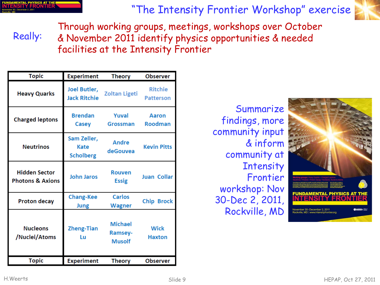| UNDAMENTAL PHYSICS AT THE I   |  |  |
|-------------------------------|--|--|
| <b>NTENSITY FRONTIER</b>      |  |  |
| ovember 30 - December 2, 2011 |  |  |

Really:

"The Intensity Frontier Workshop" exercise



Through working groups, meetings, workshops over October & November 2011 identify physics opportunities & needed facilities at the Intensity Frontier

| <b>Topic</b>                                        | <b>Experiment</b>                       | <b>Theory</b>                              | <b>Observer</b>                    |
|-----------------------------------------------------|-----------------------------------------|--------------------------------------------|------------------------------------|
| <b>Heavy Quarks</b>                                 | Joel Butler,<br><b>Jack Ritchie</b>     | <b>Zoltan Ligeti</b>                       | <b>Ritchie</b><br><b>Patterson</b> |
| <b>Charged leptons</b>                              | <b>Brendan</b><br>Casey                 | Yuval<br><b>Grossman</b>                   | Aaron<br><b>Roodman</b>            |
| <b>Neutrinos</b>                                    | Sam Zeller,<br>Kate<br><b>Scholberg</b> | <b>Andre</b><br>deGouvea                   | <b>Kevin Pitts</b>                 |
| <b>Hidden Sector</b><br><b>Photons &amp; Axions</b> | <b>John Jaros</b>                       | <b>Rouven</b><br><b>Essig</b>              | <b>Juan Collar</b>                 |
| <b>Proton decay</b>                                 | <b>Chang-Kee</b><br>Jung                | <b>Carlos</b><br>Wagner                    | <b>Chip Brock</b>                  |
| <b>Nucleons</b><br>/Nuclei/Atoms                    | <b>Zheng-Tian</b><br>Lu                 | <b>Michael</b><br>Ramsey-<br><b>Musolf</b> | <b>Wick</b><br><b>Haxton</b>       |
| <b>Topic</b>                                        | <b>Experiment</b>                       | <b>Theory</b>                              | <b>Observer</b>                    |

Summarize findings, more community input & inform community at **Intensity** Frontier workshop: Nov 30-Dec 2, 2011, Rockville, MD

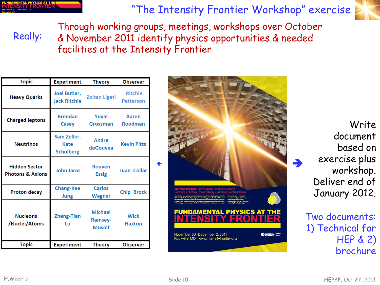| 'UNDAMENTAL PHYSICS AT THEI   |  |  |
|-------------------------------|--|--|
| <b>NTENSITY FRONTIER`</b>     |  |  |
| ovember 30 - December 2, 2011 |  |  |

Really:

"The Intensity Frontier Workshop" exercise



Through working groups, meetings, workshops over October & November 2011 identify physics opportunities & needed facilities at the Intensity Frontier

| <b>Topic</b>                                        | <b>Experiment</b>                       | <b>Theory</b>                              | <b>Observer</b>                    |
|-----------------------------------------------------|-----------------------------------------|--------------------------------------------|------------------------------------|
| <b>Heavy Quarks</b>                                 | Joel Butler,<br><b>Jack Ritchie</b>     | <b>Zoltan Ligeti</b>                       | <b>Ritchie</b><br><b>Patterson</b> |
| <b>Charged leptons</b>                              | <b>Brendan</b><br>Casey                 | Yuval<br>Grossman                          | Aaron<br><b>Roodman</b>            |
| <b>Neutrinos</b>                                    | Sam Zeller,<br>Kate<br><b>Scholberg</b> | Andre<br>deGouvea                          | <b>Kevin Pitts</b>                 |
| <b>Hidden Sector</b><br><b>Photons &amp; Axions</b> | <b>John Jaros</b>                       | <b>Rouven</b><br><b>Essig</b>              | <b>Juan Collar</b>                 |
| <b>Proton decay</b>                                 | <b>Chang-Kee</b><br>Jung                | Carlos<br>Wagner                           | <b>Chip Brock</b>                  |
| <b>Nucleons</b><br>/Nuclei/Atoms                    | <b>Zheng-Tian</b><br>Lu                 | <b>Michael</b><br>Ramsey-<br><b>Musolf</b> | <b>Wick</b><br><b>Haxton</b>       |
| <b>Topic</b>                                        | <b>Experiment</b>                       | <b>Theory</b>                              | <b>Observer</b>                    |



Write document based on exercise plus workshop. Deliver end of January 2012.

Two documents: 1) Technical for HEP & 2) brochure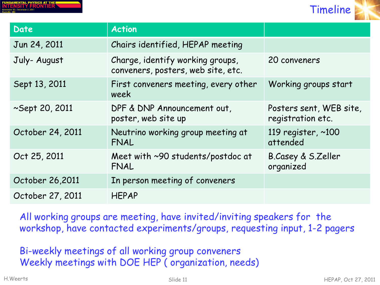|               |                                | <b>FUNDAMENTAL PHYSICS AT THE!</b> |  |  |
|---------------|--------------------------------|------------------------------------|--|--|
|               |                                | <b>INTENSITY FRONTIER</b>          |  |  |
| Doctorillo MD | November 30 - December 2, 2011 |                                    |  |  |



| Date             | <b>Action</b>                                                          |                                              |
|------------------|------------------------------------------------------------------------|----------------------------------------------|
| Jun 24, 2011     | Chairs identified, HEPAP meeting                                       |                                              |
| July-August      | Charge, identify working groups,<br>conveners, posters, web site, etc. | 20 conveners                                 |
| Sept 13, 2011    | First conveners meeting, every other<br>week                           | Working groups start                         |
| ~Sept 20, 2011   | DPF & DNP Announcement out,<br>poster, web site up                     | Posters sent, WEB site,<br>registration etc. |
| October 24, 2011 | Neutrino working group meeting at<br>FNAL                              | 119 register, $\sim$ 100<br>attended         |
| Oct 25, 2011     | Meet with ~90 students/postdoc at<br>FNAL                              | B.Casey & S.Zeller<br>organized              |
| October 26,2011  | In person meeting of conveners                                         |                                              |
| October 27, 2011 | <b>HEPAP</b>                                                           |                                              |

All working groups are meeting, have invited/inviting speakers for the workshop, have contacted experiments/groups, requesting input, 1-2 pagers

Bi-weekly meetings of all working group conveners Weekly meetings with DOE HEP ( organization, needs)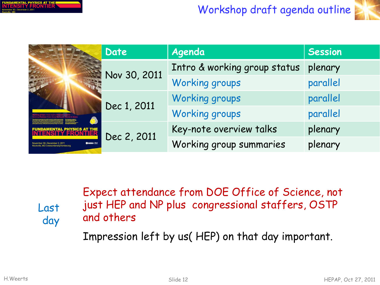| FUNDAMENTAL PHYSICS AT THE!            |  |  |
|----------------------------------------|--|--|
| <b>INTENSITY FRONTIER</b>              |  |  |
| November 30 - December 2, 2011<br>---- |  |  |

## Workshop draft agenda outline



|                                                                                             | Date         | Agenda                       | <b>Session</b> |
|---------------------------------------------------------------------------------------------|--------------|------------------------------|----------------|
|                                                                                             | Nov 30, 2011 | Intro & working group status | plenary        |
|                                                                                             |              | <b>Working groups</b>        | parallel       |
|                                                                                             |              | <b>Working groups</b>        | parallel       |
|                                                                                             | Dec 1, 2011  | Working groups               | parallel       |
| <b>DAMENTAL PHYSICS AT</b>                                                                  | Dec 2, 2011  | Key-note overview talks      | plenary        |
| <b>Oraznov</b><br>November 30-December 2, 2011<br>Rockville, MD   www.intensityfrontier.org |              | Working group summaries      | plenary        |

Expect attendance from DOE Office of Science, not just HEP and NP plus congressional staffers, OSTP and others

Impression left by us( HEP) on that day important.

Last

day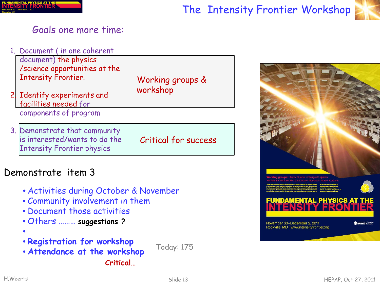

### The Intensity Frontier Workshop



### Goals one more time:

1. Document ( in one coherent

document) the physics /science opportunities at the Intensity Frontier.

- 2. Identify experiments and facilities needed for components of program
- 3. Demonstrate that community is interested/wants to do the Intensity Frontier physics

Working groups & workshop

Critical for success

### Demonstrate item 3

- Activities during October & November
- Community involvement in them
- Document those activities
- Others ……… **suggestions ?**
- •
- **Registration for workshop**
- **Attendance at the workshop**

**Critical…**

Today: 175